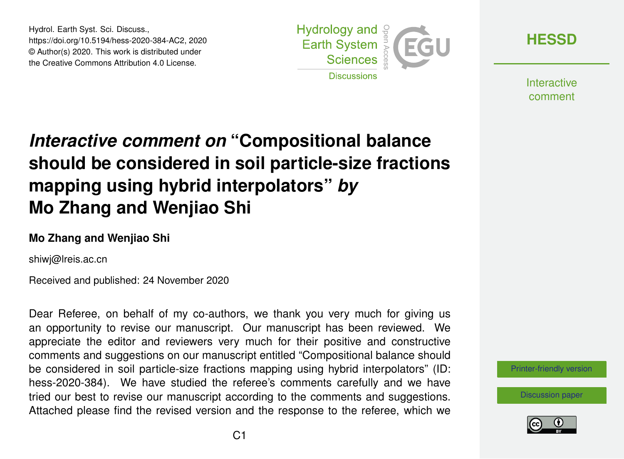Hydrol. Earth Syst. Sci. Discuss., https://doi.org/10.5194/hess-2020-384-AC2, 2020 © Author(s) 2020. This work is distributed under the Creative Commons Attribution 4.0 License.



**[HESSD](https://hess.copernicus.org/preprints/)**

**Interactive** comment

## *Interactive comment on* **"Compositional balance should be considered in soil particle-size fractions mapping using hybrid interpolators"** *by* **Mo Zhang and Wenjiao Shi**

## **Mo Zhang and Wenjiao Shi**

shiwj@lreis.ac.cn

Received and published: 24 November 2020

Dear Referee, on behalf of my co-authors, we thank you very much for giving us an opportunity to revise our manuscript. Our manuscript has been reviewed. We appreciate the editor and reviewers very much for their positive and constructive comments and suggestions on our manuscript entitled "Compositional balance should be considered in soil particle-size fractions mapping using hybrid interpolators" (ID: hess-2020-384). We have studied the referee's comments carefully and we have tried our best to revise our manuscript according to the comments and suggestions. Attached please find the revised version and the response to the referee, which we

[Printer-friendly version](https://hess.copernicus.org/preprints/hess-2020-384/hess-2020-384-AC2-print.pdf)

[Discussion paper](https://hess.copernicus.org/preprints/hess-2020-384)